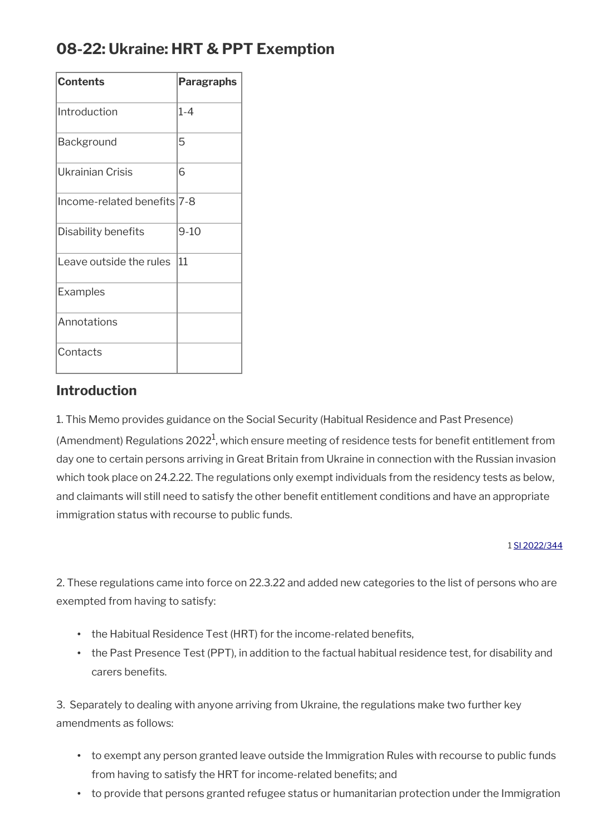# **08-22: Ukraine: HRT & PPT Exemption**

| <b>Contents</b>             | <b>Paragraphs</b> |
|-----------------------------|-------------------|
| Introduction                | 1-4               |
| <b>Background</b>           | 5                 |
| Ukrainian Crisis            | 6                 |
| Income-related benefits 7-8 |                   |
| Disability benefits         | 9-10              |
| Leave outside the rules     | 11                |
| Examples                    |                   |
| Annotations                 |                   |
| Contacts                    |                   |

### **Introduction**

1. This Memo provides guidance on the Social Security (Habitual Residence and Past Presence)

(Amendment) Regulations 2022<sup>1</sup>, which ensure meeting of residence tests for benefit entitlement from day one to certain persons arriving in Great Britain from Ukraine in connection with the Russian invasion which took place on 24.2.22. The regulations only exempt individuals from the residency tests as below, and claimants will still need to satisfy the other benefit entitlement conditions and have an appropriate immigration status with recourse to public funds.

#### 1 [SI 2022/344](http://www.legislation.gov.uk/uksi/2022/344/contents/made)

2. These regulations came into force on 22.3.22 and added new categories to the list of persons who are exempted from having to satisfy:

- the Habitual Residence Test (HRT) for the income-related benefits,
- the Past Presence Test (PPT), in addition to the factual habitual residence test, for disability and carers benefits.

3. Separately to dealing with anyone arriving from Ukraine, the regulations make two further key amendments as follows:

- to exempt any person granted leave outside the Immigration Rules with recourse to public funds from having to satisfy the HRT for income-related benefits; and
- to provide that persons granted refugee status or humanitarian protection under the Immigration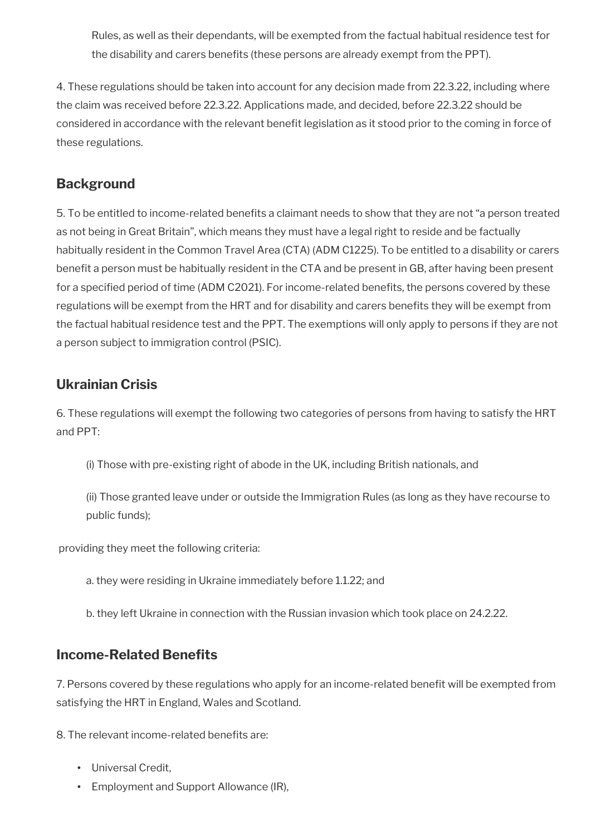Rules, as well as their dependants, will be exempted from the factual habitual residence test for the disability and carers benefts (these persons are already exempt from the PPT).

4. These regulations should be taken into account for any decision made from 22.3.22, including where the claim was received before 22.3.22. Applications made, and decided, before 22.3.22 should be considered in accordance with the relevant benefit legislation as it stood prior to the coming in force of these regulations.

# **Background**

5. To be entitled to income-related benefts a claimant needs to show that they are not "a person treated as not being in Great Britain", which means they must have a legal right to reside and be factually habitually resident in the Common Travel Area (CTA) (ADM C1225). To be entitled to a disability or carers benefit a person must be habitually resident in the CTA and be present in GB, after having been present for a specified period of time (ADM C2021). For income-related benefits, the persons covered by these regulations will be exempt from the HRT and for disability and carers benefts they will be exempt from the factual habitual residence test and the PPT. The exemptions will only apply to persons if they are not a person subject to immigration control (PSIC).

# **Ukrainian Crisis**

6. These regulations will exempt the following two categories of persons from having to satisfy the HRT and PPT:

(i) Those with pre-existing right of abode in the UK, including British nationals, and

(ii) Those granted leave under or outside the Immigration Rules (as long as they have recourse to public funds);

providing they meet the following criteria:

a. they were residing in Ukraine immediately before 1.1.22; and

b. they left Ukraine in connection with the Russian invasion which took place on 24.2.22.

### **Income-Related Benefts**

7. Persons covered by these regulations who apply for an income-related benefit will be exempted from satisfying the HRT in England, Wales and Scotland.

8. The relevant income-related benefits are:

- Universal Credit,
- Employment and Support Allowance (IR),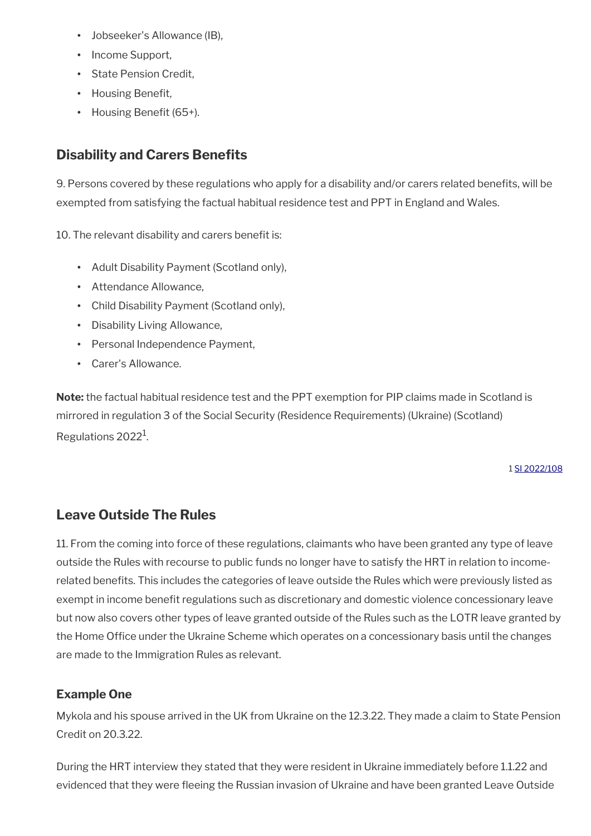- Jobseeker's Allowance (IB),
- Income Support,
- State Pension Credit,
- Housing Benefit,
- Housing Benefit (65+).

# **Disability and Carers Benefits**

9. Persons covered by these regulations who apply for a disability and/or carers related benefits, will be exempted from satisfying the factual habitual residence test and PPT in England and Wales.

10. The relevant disability and carers benefit is:

- Adult Disability Payment (Scotland only),
- Attendance Allowance,
- Child Disability Payment (Scotland only),
- Disability Living Allowance,
- Personal Independence Payment,
- Carer's Allowance.

**Note:** the factual habitual residence test and the PPT exemption for PIP claims made in Scotland is mirrored in regulation 3 of the Social Security (Residence Requirements) (Ukraine) (Scotland) Regulations 2022<sup>1</sup>.

1 [SI 2022/108](https://www.legislation.gov.uk/ssi/2022/108/contents/made)

## **Leave Outside The Rules**

11. From the coming into force of these regulations, claimants who have been granted any type of leave outside the Rules with recourse to public funds no longer have to satisfy the HRT in relation to incomerelated benefits. This includes the categories of leave outside the Rules which were previously listed as exempt in income benefit regulations such as discretionary and domestic violence concessionary leave but now also covers other types of leave granted outside of the Rules such as the LOTR leave granted by the Home Office under the Ukraine Scheme which operates on a concessionary basis until the changes are made to the Immigration Rules as relevant.

#### **Example One**

Mykola and his spouse arrived in the UK from Ukraine on the 12.3.22. They made a claim to State Pension Credit on 20.3.22.

During the HRT interview they stated that they were resident in Ukraine immediately before 1.1.22 and evidenced that they were feeing the Russian invasion of Ukraine and have been granted Leave Outside